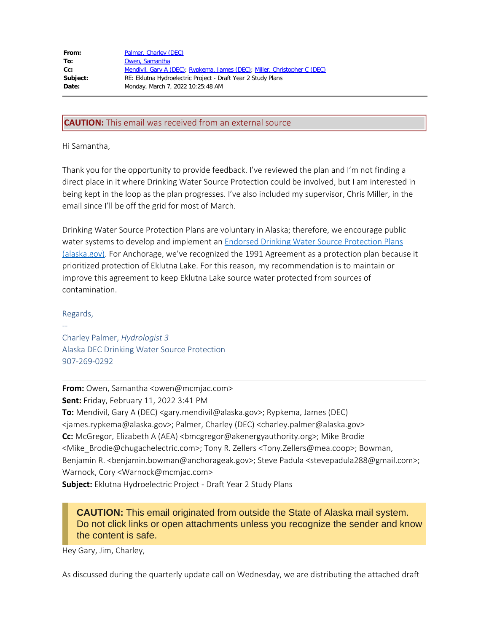| From:    | Palmer, Charley (DEC)                                                     |
|----------|---------------------------------------------------------------------------|
| To:      | Owen, Samantha                                                            |
| $Cc$ :   | Mendivil, Gary A (DEC); Rypkema, James (DEC); Miller, Christopher C (DEC) |
| Subject: | RE: Eklutna Hydroelectric Project - Draft Year 2 Study Plans              |
| Date:    | Monday, March 7, 2022 10:25:48 AM                                         |
|          |                                                                           |

## **CAUTION:** This email was received from an external source

Hi Samantha,

Thank you for the opportunity to provide feedback. I've reviewed the plan and I'm not finding a direct place in it where Drinking Water Source Protection could be involved, but I am interested in being kept in the loop as the plan progresses. I've also included my supervisor, Chris Miller, in the email since I'll be off the grid for most of March.

Drinking Water Source Protection Plans are voluntary in Alaska; therefore, we encourage public water systems to develop and implement an Endorsed Drinking Water Source [Protection](https://dec.alaska.gov/eh/dw/dwp/endorsed-plans/) Plans [\(alaska.gov\)](https://dec.alaska.gov/eh/dw/dwp/endorsed-plans/). For Anchorage, we've recognized the 1991 Agreement as a protection plan because it prioritized protection of Eklutna Lake. For this reason, my recommendation is to maintain or improve this agreement to keep Eklutna Lake source water protected from sources of contamination.

Regards,

--

Charley Palmer, *Hydrologist 3* Alaska DEC Drinking Water Source Protection 907-269-0292

**From:** Owen, Samantha <owen@mcmjac.com> **Sent:** Friday, February 11, 2022 3:41 PM **To:** Mendivil, Gary A (DEC) <gary.mendivil@alaska.gov>; Rypkema, James (DEC) <james.rypkema@alaska.gov>; Palmer, Charley (DEC) <charley.palmer@alaska.gov> **Cc:** McGregor, Elizabeth A (AEA) <br/>bmcgregor@akenergyauthority.org>; Mike Brodie <Mike\_Brodie@chugachelectric.com>; Tony R. Zellers <Tony.Zellers@mea.coop>; Bowman, Benjamin R. <benjamin.bowman@anchorageak.gov>; Steve Padula <stevepadula288@gmail.com>; Warnock, Cory <Warnock@mcmjac.com>

**Subject:** Eklutna Hydroelectric Project - Draft Year 2 Study Plans

**CAUTION:** This email originated from outside the State of Alaska mail system. Do not click links or open attachments unless you recognize the sender and know the content is safe.

Hey Gary, Jim, Charley,

As discussed during the quarterly update call on Wednesday, we are distributing the attached draft